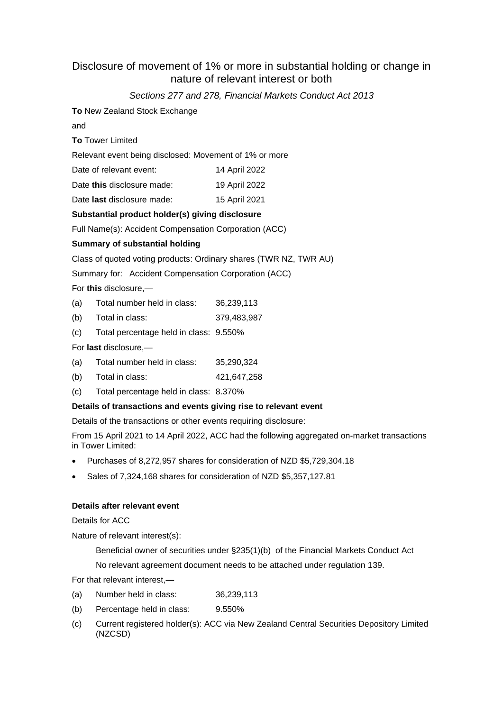# Disclosure of movement of 1% or more in substantial holding or change in nature of relevant interest or both

# *Sections 277 and 278, Financial Markets Conduct Act 2013*

**To** New Zealand Stock Exchange

and

**To** Tower Limited

Relevant event being disclosed: Movement of 1% or more

Date of relevant event: 14 April 2022

Date this disclosure made: 19 April 2022

Date **last** disclosure made: 15 April 2021

## **Substantial product holder(s) giving disclosure**

Full Name(s): Accident Compensation Corporation (ACC)

## **Summary of substantial holding**

Class of quoted voting products: Ordinary shares (TWR NZ, TWR AU)

Summary for: Accident Compensation Corporation (ACC)

For **this** disclosure,—

- (a) Total number held in class: 36,239,113
- (b) Total in class: 379,483,987
- (c) Total percentage held in class: 9.550%

For **last** disclosure,—

- (a) Total number held in class: 35,290,324
- (b) Total in class: 421,647,258
- (c) Total percentage held in class: 8.370%

## **Details of transactions and events giving rise to relevant event**

Details of the transactions or other events requiring disclosure:

From 15 April 2021 to 14 April 2022, ACC had the following aggregated on-market transactions in Tower Limited:

- Purchases of 8,272,957 shares for consideration of NZD \$5,729,304.18
- Sales of 7,324,168 shares for consideration of NZD \$5,357,127.81

# **Details after relevant event**

Details for ACC

Nature of relevant interest(s):

Beneficial owner of securities under §235(1)(b) of the Financial Markets Conduct Act No relevant agreement document needs to be attached under regulation 139.

For that relevant interest,—

- (a) Number held in class: 36,239,113
- (b) Percentage held in class: 9.550%
- (c) Current registered holder(s): ACC via New Zealand Central Securities Depository Limited (NZCSD)